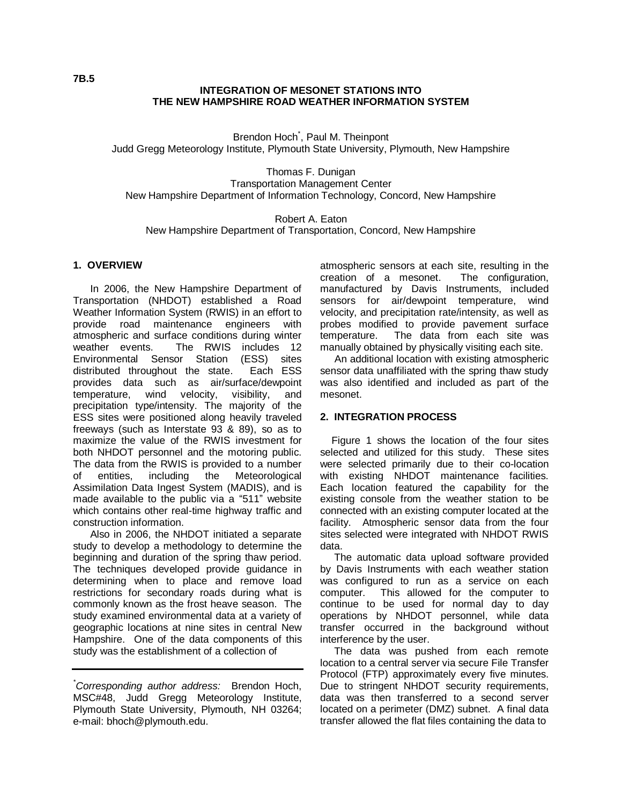### **INTEGRATION OF MESONET STATIONS INTO THE NEW HAMPSHIRE ROAD WEATHER INFORMATION SYSTEM**

Brendon Hoch<sup>\*</sup>, Paul M. Theinpont Judd Gregg Meteorology Institute, Plymouth State University, Plymouth, New Hampshire

Thomas F. Dunigan Transportation Management Center New Hampshire Department of Information Technology, Concord, New Hampshire

Robert A. Eaton New Hampshire Department of Transportation, Concord, New Hampshire

#### **1. OVERVIEW**

 In 2006, the New Hampshire Department of Transportation (NHDOT) established a Road Weather Information System (RWIS) in an effort to provide road maintenance engineers with atmospheric and surface conditions during winter The RWIS includes 12 Environmental Sensor Station (ESS) sites distributed throughout the state. Each ESS provides data such as air/surface/dewpoint temperature, wind velocity, visibility, and precipitation type/intensity. The majority of the ESS sites were positioned along heavily traveled freeways (such as Interstate 93 & 89), so as to maximize the value of the RWIS investment for both NHDOT personnel and the motoring public. The data from the RWIS is provided to a number of entities, including the Meteorological Assimilation Data Ingest System (MADIS), and is made available to the public via a "511" website which contains other real-time highway traffic and construction information.

 Also in 2006, the NHDOT initiated a separate study to develop a methodology to determine the beginning and duration of the spring thaw period. The techniques developed provide guidance in determining when to place and remove load restrictions for secondary roads during what is commonly known as the frost heave season. The study examined environmental data at a variety of geographic locations at nine sites in central New Hampshire. One of the data components of this study was the establishment of a collection of

*\*Corresponding author address:* Brendon Hoch, MSC#48, Judd Gregg Meteorology Institute, Plymouth State University, Plymouth, NH 03264; e-mail: bhoch@plymouth.edu.

atmospheric sensors at each site, resulting in the creation of a mesonet. The configuration, manufactured by Davis Instruments, included sensors for air/dewpoint temperature, wind velocity, and precipitation rate/intensity, as well as probes modified to provide pavement surface temperature. The data from each site was manually obtained by physically visiting each site.

 An additional location with existing atmospheric sensor data unaffiliated with the spring thaw study was also identified and included as part of the mesonet.

### **2. INTEGRATION PROCESS**

 Figure 1 shows the location of the four sites selected and utilized for this study. These sites were selected primarily due to their co-location with existing NHDOT maintenance facilities. Each location featured the capability for the existing console from the weather station to be connected with an existing computer located at the facility. Atmospheric sensor data from the four sites selected were integrated with NHDOT RWIS data.

 The automatic data upload software provided by Davis Instruments with each weather station was configured to run as a service on each computer. This allowed for the computer to continue to be used for normal day to day operations by NHDOT personnel, while data transfer occurred in the background without interference by the user.

 The data was pushed from each remote location to a central server via secure File Transfer Protocol (FTP) approximately every five minutes. Due to stringent NHDOT security requirements, data was then transferred to a second server located on a perimeter (DMZ) subnet. A final data transfer allowed the flat files containing the data to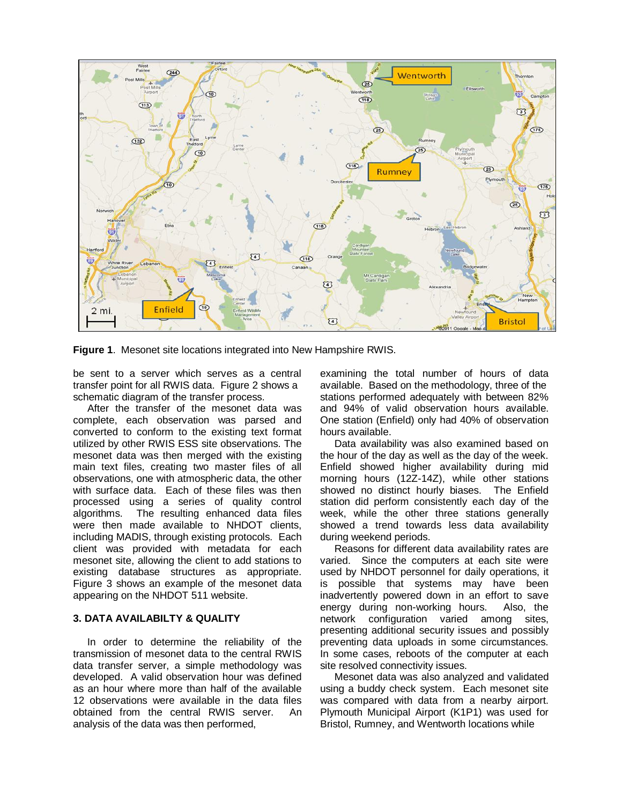

**Figure 1**. Mesonet site locations integrated into New Hampshire RWIS.

be sent to a server which serves as a central transfer point for all RWIS data. Figure 2 shows a schematic diagram of the transfer process.

 After the transfer of the mesonet data was complete, each observation was parsed and converted to conform to the existing text format utilized by other RWIS ESS site observations. The mesonet data was then merged with the existing main text files, creating two master files of all observations, one with atmospheric data, the other with surface data. Each of these files was then processed using a series of quality control algorithms. The resulting enhanced data files were then made available to NHDOT clients, including MADIS, through existing protocols. Each client was provided with metadata for each mesonet site, allowing the client to add stations to existing database structures as appropriate. Figure 3 shows an example of the mesonet data appearing on the NHDOT 511 website.

### **3. DATA AVAILABILTY & QUALITY**

 In order to determine the reliability of the transmission of mesonet data to the central RWIS data transfer server, a simple methodology was developed. A valid observation hour was defined as an hour where more than half of the available 12 observations were available in the data files obtained from the central RWIS server. An analysis of the data was then performed,

examining the total number of hours of data available. Based on the methodology, three of the stations performed adequately with between 82% and 94% of valid observation hours available. One station (Enfield) only had 40% of observation hours available.

 Data availability was also examined based on the hour of the day as well as the day of the week. Enfield showed higher availability during mid morning hours (12Z-14Z), while other stations showed no distinct hourly biases. The Enfield station did perform consistently each day of the week, while the other three stations generally showed a trend towards less data availability during weekend periods.

 Reasons for different data availability rates are varied. Since the computers at each site were used by NHDOT personnel for daily operations, it is possible that systems may have been inadvertently powered down in an effort to save energy during non-working hours. Also, the network configuration varied among sites, presenting additional security issues and possibly preventing data uploads in some circumstances. In some cases, reboots of the computer at each site resolved connectivity issues.

 Mesonet data was also analyzed and validated using a buddy check system. Each mesonet site was compared with data from a nearby airport. Plymouth Municipal Airport (K1P1) was used for Bristol, Rumney, and Wentworth locations while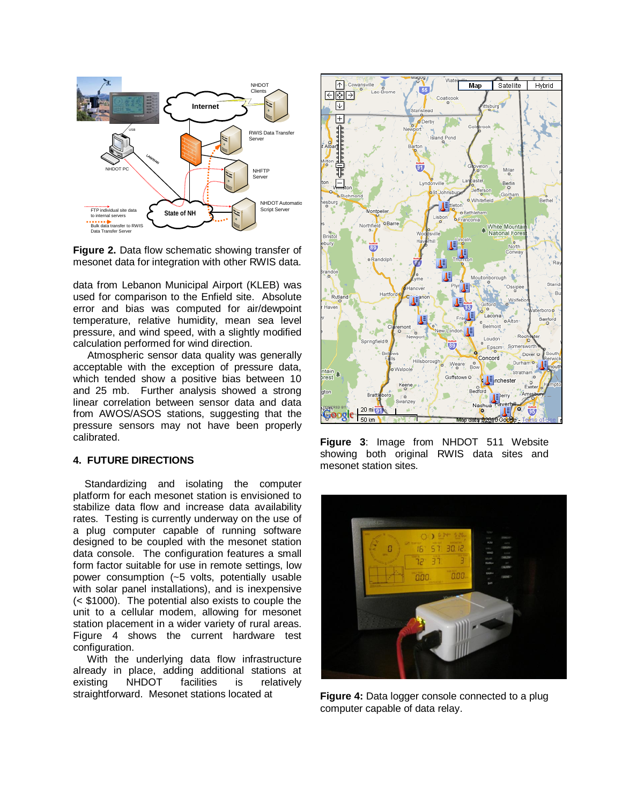

**Figure 2.** Data flow schematic showing transfer of mesonet data for integration with other RWIS data.

data from Lebanon Municipal Airport (KLEB) was used for comparison to the Enfield site. Absolute error and bias was computed for air/dewpoint temperature, relative humidity, mean sea level pressure, and wind speed, with a slightly modified calculation performed for wind direction.

 Atmospheric sensor data quality was generally acceptable with the exception of pressure data, which tended show a positive bias between 10 and 25 mb. Further analysis showed a strong linear correlation between sensor data and data from AWOS/ASOS stations, suggesting that the pressure sensors may not have been properly calibrated.

## **4. FUTURE DIRECTIONS**

 Standardizing and isolating the computer platform for each mesonet station is envisioned to stabilize data flow and increase data availability rates. Testing is currently underway on the use of a plug computer capable of running software designed to be coupled with the mesonet station data console. The configuration features a small form factor suitable for use in remote settings, low power consumption (~5 volts, potentially usable with solar panel installations), and is inexpensive (< \$1000). The potential also exists to couple the unit to a cellular modem, allowing for mesonet station placement in a wider variety of rural areas. Figure 4 shows the current hardware test configuration.

 With the underlying data flow infrastructure already in place, adding additional stations at existing NHDOT facilities is relatively straightforward. Mesonet stations located at



**Figure 3**: Image from NHDOT 511 Website showing both original RWIS data sites and mesonet station sites.



**Figure 4:** Data logger console connected to a plug computer capable of data relay.